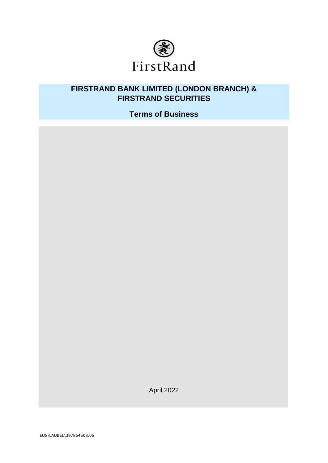

# **FIRSTRAND BANK LIMITED (LONDON BRANCH) & FIRSTRAND SECURITIES**

**Terms of Business**

April 2022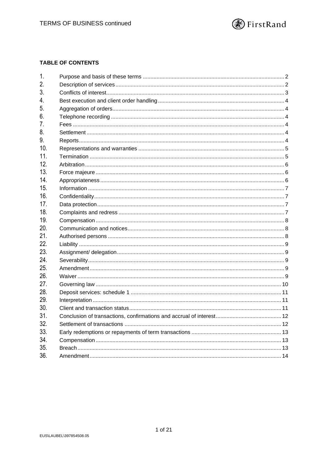

# **TABLE OF CONTENTS**

| 1.  |  |
|-----|--|
| 2.  |  |
| 3.  |  |
| 4.  |  |
| 5.  |  |
| 6.  |  |
| 7.  |  |
| 8.  |  |
| 9.  |  |
| 10. |  |
| 11. |  |
| 12. |  |
| 13. |  |
| 14. |  |
| 15. |  |
| 16. |  |
| 17. |  |
| 18. |  |
| 19. |  |
| 20. |  |
| 21. |  |
| 22. |  |
| 23. |  |
| 24. |  |
| 25. |  |
| 26. |  |
| 27. |  |
| 28. |  |
| 29. |  |
| 30. |  |
| 31. |  |
| 32. |  |
| 33. |  |
| 34. |  |
| 35. |  |
| 36. |  |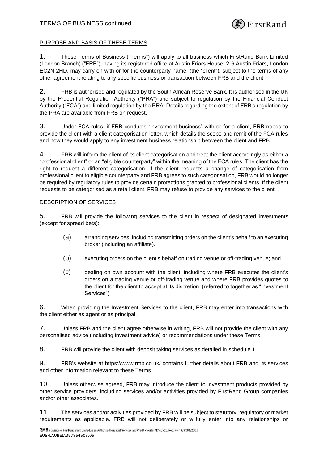

# PURPOSE AND BASIS OF THESE TERMS

1. These Terms of Business ("Terms") will apply to all business which FirstRand Bank Limited (London Branch) ("FRB"), having its registered office at Austin Friars House, 2-6 Austin Friars, London EC2N 2HD, may carry on with or for the counterparty name, (the "client"), subject to the terms of any other agreement relating to any specific business or transaction between FRB and the client.

2. FRB is authorised and regulated by the South African Reserve Bank. It is authorised in the UK by the Prudential Regulation Authority ("PRA") and subject to regulation by the Financial Conduct Authority ("FCA") and limited regulation by the PRA. Details regarding the extent of FRB's regulation by the PRA are available from FRB on request.

3. Under FCA rules, if FRB conducts "investment business" with or for a client, FRB needs to provide the client with a client categorisation letter, which details the scope and remit of the FCA rules and how they would apply to any investment business relationship between the client and FRB.

4. FRB will inform the client of its client categorisation and treat the client accordingly as either a "professional client" or an "eligible counterparty" within the meaning of the FCA rules. The client has the right to request a different categorisation. If the client requests a change of categorisation from professional client to eligible counterparty and FRB agrees to such categorisation, FRB would no longer be required by regulatory rules to provide certain protections granted to professional clients. If the client requests to be categorised as a retail client, FRB may refuse to provide any services to the client.

#### DESCRIPTION OF SERVICES

5. FRB will provide the following services to the client in respect of designated investments (except for spread bets):

- (a) arranging services, including transmitting orders on the client's behalf to an executing broker (including an affiliate).
- (b) executing orders on the client's behalf on trading venue or off-trading venue; and
- (c) dealing on own account with the client, including where FRB executes the client's orders on a trading venue or off-trading venue and where FRB provides quotes to the client for the client to accept at its discretion, (referred to together as "Investment Services").

6. When providing the Investment Services to the client, FRB may enter into transactions with the client either as agent or as principal.

7. Unless FRB and the client agree otherwise in writing, FRB will not provide the client with any personalised advice (including investment advice) or recommendations under these Terms.

8. FRB will provide the client with deposit taking services as detailed in [schedule 1.](#page-11-0)

9. FRB's website at https://www.rmb.co.uk/ contains further details about FRB and its services and other information relevant to these Terms.

10. Unless otherwise agreed, FRB may introduce the client to investment products provided by other service providers, including services and/or activities provided by FirstRand Group companies and/or other associates.

11. The services and/or activities provided by FRB will be subject to statutory, regulatory or market requirements as applicable. FRB will not deliberately or wilfully enter into any relationships or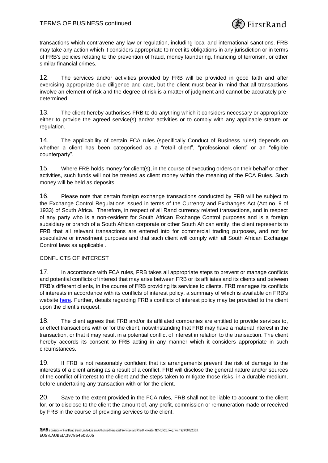

transactions which contravene any law or regulation, including local and international sanctions. FRB may take any action which it considers appropriate to meet its obligations in any jurisdiction or in terms of FRB's policies relating to the prevention of fraud, money laundering, financing of terrorism, or other similar financial crimes.

12. The services and/or activities provided by FRB will be provided in good faith and after exercising appropriate due diligence and care, but the client must bear in mind that all transactions involve an element of risk and the degree of risk is a matter of judgment and cannot be accurately predetermined.

13. The client hereby authorises FRB to do anything which it considers necessary or appropriate either to provide the agreed service(s) and/or activities or to comply with any applicable statute or regulation.

14. The applicability of certain FCA rules (specifically Conduct of Business rules) depends on whether a client has been categorised as a "retail client", "professional client" or an "eligible counterparty".

15. Where FRB holds money for client(s), in the course of executing orders on their behalf or other activities, such funds will not be treated as client money within the meaning of the FCA Rules. Such money will be held as deposits.

16. Please note that certain foreign exchange transactions conducted by FRB will be subject to the Exchange Control Regulations issued in terms of the Currency and Exchanges Act (Act no. 9 of 1933) of South Africa. Therefore, in respect of all Rand currency related transactions, and in respect of any party who is a non-resident for South African Exchange Control purposes and is a foreign subsidiary or branch of a South African corporate or other South African entity, the client represents to FRB that all relevant transactions are entered into for commercial trading purposes, and not for speculative or investment purposes and that such client will comply with all South African Exchange Control laws as applicable .

# CONFLICTS OF INTEREST

17. In accordance with FCA rules, FRB takes all appropriate steps to prevent or manage conflicts and potential conflicts of interest that may arise between FRB or its affiliates and its clients and between FRB's different clients, in the course of FRB providing its services to clients. FRB manages its conflicts of interests in accordance with its conflicts of interest policy, a summary of which is available on FRB's website [here.](https://www.rmb.co.uk/page/regulatory-disclosure) Further, details regarding FRB's conflicts of interest policy may be provided to the client upon the client's request.

18. The client agrees that FRB and/or its affiliated companies are entitled to provide services to, or effect transactions with or for the client, notwithstanding that FRB may have a material interest in the transaction, or that it may result in a potential conflict of interest in relation to the transaction. The client hereby accords its consent to FRB acting in any manner which it considers appropriate in such circumstances.

19. If FRB is not reasonably confident that its arrangements prevent the risk of damage to the interests of a client arising as a result of a conflict, FRB will disclose the general nature and/or sources of the conflict of interest to the client and the steps taken to mitigate those risks, in a durable medium, before undertaking any transaction with or for the client.

20. Save to the extent provided in the FCA rules, FRB shall not be liable to account to the client for, or to disclose to the client the amount of, any profit, commission or remuneration made or received by FRB in the course of providing services to the client.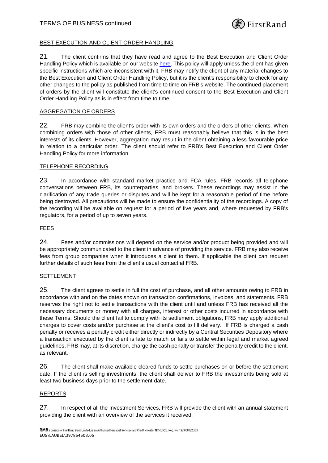# BEST EXECUTION AND CLIENT ORDER HANDLING

21. The client confirms that they have read and agree to the Best Execution and Client Order Handling Policy which is available on our website [here.](https://www.rmb.co.uk/page/regulatory-disclosure) This policy will apply unless the client has given specific instructions which are inconsistent with it. FRB may notify the client of any material changes to the Best Execution and Client Order Handling Policy, but it is the client's responsibility to check for any other changes to the policy as published from time to time on FRB's website. The continued placement of orders by the client will constitute the client's continued consent to the Best Execution and Client Order Handling Policy as is in effect from time to time.

## AGGREGATION OF ORDERS

22. FRB may combine the client's order with its own orders and the orders of other clients. When combining orders with those of other clients, FRB must reasonably believe that this is in the best interests of its clients. However, aggregation may result in the client obtaining a less favourable price in relation to a particular order. The client should refer to FRB's Best Execution and Client Order Handling Policy for more information.

#### TELEPHONE RECORDING

<span id="page-4-0"></span>23. In accordance with standard market practice and FCA rules, FRB records all telephone conversations between FRB, its counterparties, and brokers. These recordings may assist in the clarification of any trade queries or disputes and will be kept for a reasonable period of time before being destroyed. All precautions will be made to ensure the confidentiality of the recordings. A copy of the recording will be available on request for a period of five years and, where requested by FRB's regulators, for a period of up to seven years.

## FEES

24. Fees and/or commissions will depend on the service and/or product being provided and will be appropriately communicated to the client in advance of providing the service. FRB may also receive fees from group companies when it introduces a client to them. If applicable the client can request further details of such fees from the client's usual contact at FRB.

# SETTLEMENT

25. The client agrees to settle in full the cost of purchase, and all other amounts owing to FRB in accordance with and on the dates shown on transaction confirmations, invoices, and statements. FRB reserves the right not to settle transactions with the client until and unless FRB has received all the necessary documents or money with all charges, interest or other costs incurred in accordance with these Terms. Should the client fail to comply with its settlement obligations, FRB may apply additional charges to cover costs and/or purchase at the client's cost to fill delivery. If FRB is charged a cash penalty or receives a penalty credit either directly or indirectly by a Central Securities Depository where a transaction executed by the client is late to match or fails to settle within legal and market agreed guidelines, FRB may, at its discretion, charge the cash penalty or transfer the penalty credit to the client, as relevant.

26. The client shall make available cleared funds to settle purchases on or before the settlement date. If the client is selling investments, the client shall deliver to FRB the investments being sold at least two business days prior to the settlement date.

# REPORTS

27. In respect of all the Investment Services, FRB will provide the client with an annual statement providing the client with an overview of the services it received.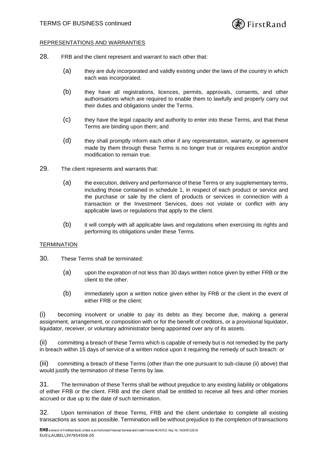

## REPRESENTATIONS AND WARRANTIES

- 28. FRB and the client represent and warrant to each other that:
	- (a) they are duly incorporated and validly existing under the laws of the country in which each was incorporated.
	- (b) they have all registrations, licences, permits, approvals, consents, and other authorisations which are required to enable them to lawfully and properly carry out their duties and obligations under the Terms.
	- (c) they have the legal capacity and authority to enter into these Terms, and that these Terms are binding upon them; and
	- (d) they shall promptly inform each other if any representation, warranty, or agreement made by them through these Terms is no longer true or requires exception and/or modification to remain true.
- 29. The client represents and warrants that:
	- (a) the execution, delivery and performance of these Terms or any supplementary terms, including those contained in [schedule 1,](#page-11-0) in respect of each product or service and the purchase or sale by the client of products or services in connection with a transaction or the Investment Services, does not violate or conflict with any applicable laws or regulations that apply to the client.
	- (b) it will comply with all applicable laws and regulations when exercising its rights and performing its obligations under these Terms.

# **TERMINATION**

- 30. These Terms shall be terminated:
	- (a) upon the expiration of not less than 30 days written notice given by either FRB or the client to the other.
	- (b) immediately upon a written notice given either by FRB or the client in the event of either FRB or the client:

(i) becoming insolvent or unable to pay its debts as they become due, making a general assignment, arrangement, or composition with or for the benefit of creditors, or a provisional liquidator, liquidator, receiver, or voluntary administrator being appointed over any of its assets.

<span id="page-5-0"></span>(ii) committing a breach of these Terms which is capable of remedy but is not remedied by the party in breach within 15 days of service of a written notice upon it requiring the remedy of such breach: or

(iii) committing a breach of these Terms (other than the one pursuant to sub-clause [\(ii\)](#page-5-0) above) that would justify the termination of these Terms by law.

31. The termination of these Terms shall be without prejudice to any existing liability or obligations of either FRB or the client. FRB and the client shall be entitled to receive all fees and other monies accrued or due up to the date of such termination.

32. Upon termination of these Terms, FRB and the client undertake to complete all existing transactions as soon as possible. Termination will be without prejudice to the completion of transactions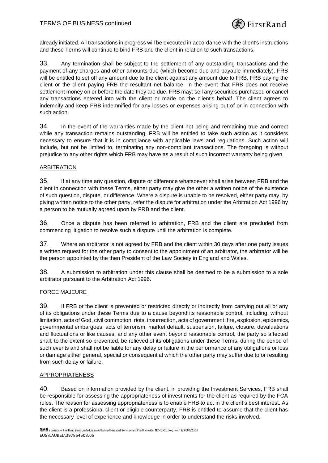

already initiated. All transactions in progress will be executed in accordance with the client's instructions and these Terms will continue to bind FRB and the client in relation to such transactions.

33. Any termination shall be subject to the settlement of any outstanding transactions and the payment of any charges and other amounts due (which become due and payable immediately). FRB will be entitled to set off any amount due to the client against any amount due to FRB, FRB paying the client or the client paying FRB the resultant net balance. In the event that FRB does not receive settlement money on or before the date they are due, FRB may: sell any securities purchased or cancel any transactions entered into with the client or made on the client's behalf. The client agrees to indemnify and keep FRB indemnified for any losses or expenses arising out of or in connection with such action.

34. In the event of the warranties made by the client not being and remaining true and correct while any transaction remains outstanding, FRB will be entitled to take such action as it considers necessary to ensure that it is in compliance with applicable laws and regulations. Such action will include, but not be limited to, terminating any non-compliant transactions. The foregoing is without prejudice to any other rights which FRB may have as a result of such incorrect warranty being given.

# ARBITRATION

35. If at any time any question, dispute or difference whatsoever shall arise between FRB and the client in connection with these Terms, either party may give the other a written notice of the existence of such question, dispute, or difference. Where a dispute is unable to be resolved, either party may, by giving written notice to the other party, refer the dispute for arbitration under the Arbitration Act 1996 by a person to be mutually agreed upon by FRB and the client.

36. Once a dispute has been referred to arbitration, FRB and the client are precluded from commencing litigation to resolve such a dispute until the arbitration is complete.

37. Where an arbitrator is not agreed by FRB and the client within 30 days after one party issues a written request for the other party to consent to the appointment of an arbitrator, the arbitrator will be the person appointed by the then President of the Law Society in England and Wales.

38. A submission to arbitration under this clause shall be deemed to be a submission to a sole arbitrator pursuant to the Arbitration Act 1996.

# FORCE MAJEURE

39. If FRB or the client is prevented or restricted directly or indirectly from carrying out all or any of its obligations under these Terms due to a cause beyond its reasonable control, including, without limitation, acts of God, civil commotion, riots, insurrection, acts of government, fire, explosion, epidemics, governmental embargoes, acts of terrorism, market default, suspension, failure, closure, devaluations and fluctuations or like causes, and any other event beyond reasonable control, the party so affected shall, to the extent so prevented, be relieved of its obligations under these Terms, during the period of such events and shall not be liable for any delay or failure in the performance of any obligations or loss or damage either general, special or consequential which the other party may suffer due to or resulting from such delay or failure.

# APPROPRIATENESS

<span id="page-6-0"></span>40. Based on information provided by the client, in providing the Investment Services, FRB shall be responsible for assessing the appropriateness of investments for the client as required by the FCA rules. The reason for assessing appropriateness is to enable FRB to act in the client's best interest. As the client is a professional client or eligible counterparty, FRB is entitled to assume that the client has the necessary level of experience and knowledge in order to understand the risks involved.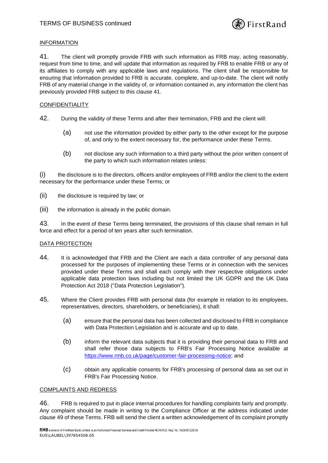

# INFORMATION

<span id="page-7-0"></span>41. The client will promptly provide FRB with such information as FRB may, acting reasonably, request from time to time, and will update that information as required by FRB to enable FRB or any of its affiliates to comply with any applicable laws and regulations. The client shall be responsible for ensuring that information provided to FRB is accurate, complete, and up-to-date. The client will notify FRB of any material change in the validity of, or information contained in, any information the client has previously provided FRB subject to this clause [41.](#page-7-0)

# CONFIDENTIALITY

- <span id="page-7-1"></span>42. During the validity of these Terms and after their termination, FRB and the client will:
	- (a) not use the information provided by either party to the other except for the purpose of, and only to the extent necessary for, the performance under these Terms.
	- (b) not disclose any such information to a third party without the prior written consent of the party to which such information relates unless:

(i) the disclosure is to the directors, officers and/or employees of FRB and/or the client to the extent necessary for the performance under these Terms; or

- (ii) the disclosure is required by law; or
- (iii) the information is already in the public domain.

43. In the event of these Terms being terminated, the provisions of this clause shall remain in full force and effect for a period of ten years after such termination.

# DATA PROTECTION

- 44. It is acknowledged that FRB and the Client are each a data controller of any personal data processed for the purposes of implementing these Terms or in connection with the services provided under these Terms and shall each comply with their respective obligations under applicable data protection laws including but not limited the UK GDPR and the UK Data Protection Act 2018 ("Data Protection Legislation").
- 45. Where the Client provides FRB with personal data (for example in relation to its employees, representatives, directors, shareholders, or beneficiaries), it shall:
	- (a) ensure that the personal data has been collected and disclosed to FRB in compliance with Data Protection Legislation and is accurate and up to date.
	- (b) inform the relevant data subjects that it is providing their personal data to FRB and shall refer those data subjects to FRB's Fair Processing Notice available at [https://www.rmb.co.uk/page/customer-fair-processing-notice;](https://www.rmb.co.uk/page/customer-fair-processing-notice) and
	- (c) obtain any applicable consents for FRB's processing of personal data as set out in FRB's Fair Processing Notice.

# COMPLAINTS AND REDRESS

46. FRB is required to put in place internal procedures for handling complaints fairly and promptly. Any complaint should be made in writing to the Compliance Officer at the address indicated under clause [49](#page-8-0) of these Terms. FRB will send the client a written acknowledgement of its complaint promptly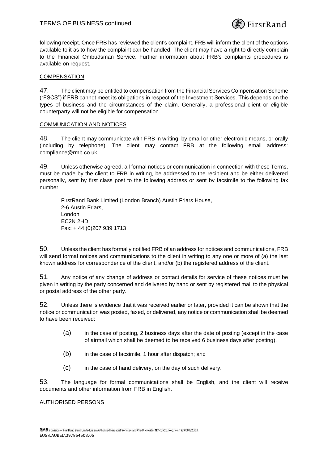

following receipt. Once FRB has reviewed the client's complaint, FRB will inform the client of the options available to it as to how the complaint can be handled. The client may have a right to directly complain to the Financial Ombudsman Service. Further information about FRB's complaints procedures is available on request.

## **COMPENSATION**

47. The client may be entitled to compensation from the Financial Services Compensation Scheme ("FSCS") if FRB cannot meet its obligations in respect of the Investment Services. This depends on the types of business and the circumstances of the claim. Generally, a professional client or eligible counterparty will not be eligible for compensation.

#### COMMUNICATION AND NOTICES

48. The client may communicate with FRB in writing, by email or other electronic means, or orally (including by telephone). The client may contact FRB at the following email address: compliance@rmb.co.uk.

<span id="page-8-0"></span>49. Unless otherwise agreed, all formal notices or communication in connection with these Terms, must be made by the client to FRB in writing, be addressed to the recipient and be either delivered personally, sent by first class post to the following address or sent by facsimile to the following fax number:

FirstRand Bank Limited (London Branch) Austin Friars House, 2-6 Austin Friars, London EC2N 2HD Fax: + 44 (0)207 939 1713

50. Unless the client has formally notified FRB of an address for notices and communications, FRB will send formal notices and communications to the client in writing to any one or more of (a) the last known address for correspondence of the client, and/or (b) the registered address of the client.

51. Any notice of any change of address or contact details for service of these notices must be given in writing by the party concerned and delivered by hand or sent by registered mail to the physical or postal address of the other party.

52. Unless there is evidence that it was received earlier or later, provided it can be shown that the notice or communication was posted, faxed, or delivered, any notice or communication shall be deemed to have been received:

- (a) in the case of posting, 2 business days after the date of posting (except in the case of airmail which shall be deemed to be received 6 business days after posting).
- (b) in the case of facsimile, 1 hour after dispatch; and
- (c) in the case of hand delivery, on the day of such delivery.

53. The language for formal communications shall be English, and the client will receive documents and other information from FRB in English.

#### AUTHORISED PERSONS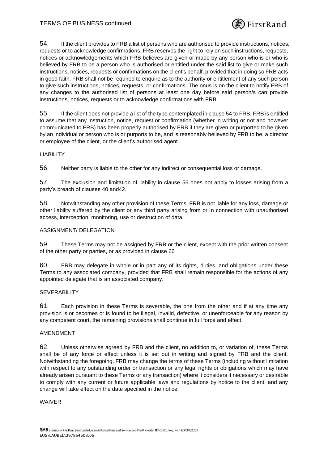

<span id="page-9-0"></span>54. If the client provides to FRB a list of persons who are authorised to provide instructions, notices, requests or to acknowledge confirmations, FRB reserves the right to rely on such instructions, requests, notices or acknowledgements which FRB believes are given or made by any person who is or who is believed by FRB to be a person who is authorised or entitled under the said list to give or make such instructions, notices, requests or confirmations on the client's behalf, provided that in doing so FRB acts in good faith. FRB shall not be required to enquire as to the authority or entitlement of any such person to give such instructions, notices, requests, or confirmations. The onus is on the client to notify FRB of any changes to the authorised list of persons at least one day before said person/s can provide instructions, notices, requests or to acknowledge confirmations with FRB.

55. If the client does not provide a list of the type contemplated in clause [54](#page-9-0) to FRB, FRB is entitled to assume that any instruction, notice, request or confirmation (whether in writing or not and however communicated to FRB) has been properly authorised by FRB if they are given or purported to be given by an individual or person who is or purports to be, and is reasonably believed by FRB to be, a director or employee of the client, or the client's authorised agent.

# LIABILITY

<span id="page-9-1"></span>56. Neither party is liable to the other for any indirect or consequential loss or damage.

57. The exclusion and limitation of liability in clause [56](#page-9-1) does not apply to losses arising from a party's breach of clauses [40](#page-6-0) an[d42.](#page-7-1)

58. Notwithstanding any other provision of these Terms, FRB is not liable for any loss, damage or other liability suffered by the client or any third party arising from or in connection with unauthorised access, interception, monitoring, use or destruction of data.

## ASSIGNMENT/ DELEGATION

59. These Terms may not be assigned by FRB or the client, except with the prior written consent of the other party or parties, or as provided in clause [60](#page-9-2)

<span id="page-9-2"></span>60. FRB may delegate in whole or in part any of its rights, duties, and obligations under these Terms to any associated company, provided that FRB shall remain responsible for the actions of any appointed delegate that is an associated company.

#### **SEVERABILITY**

61. Each provision in these Terms is severable, the one from the other and if at any time any provision is or becomes or is found to be illegal, invalid, defective, or unenforceable for any reason by any competent court, the remaining provisions shall continue in full force and effect.

# AMENDMENT

62. Unless otherwise agreed by FRB and the client, no addition to, or variation of, these Terms shall be of any force or effect unless it is set out in writing and signed by FRB and the client. Notwithstanding the foregoing, FRB may change the terms of these Terms (including without limitation with respect to any outstanding order or transaction or any legal rights or obligations which may have already arisen pursuant to these Terms or any transaction) where it considers it necessary or desirable to comply with any current or future applicable laws and regulations by notice to the client, and any change will take effect on the date specified in the notice.

#### WAIVER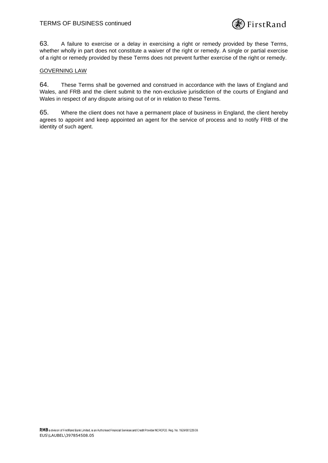

63. A failure to exercise or a delay in exercising a right or remedy provided by these Terms, whether wholly in part does not constitute a waiver of the right or remedy. A single or partial exercise of a right or remedy provided by these Terms does not prevent further exercise of the right or remedy.

# GOVERNING LAW

64. These Terms shall be governed and construed in accordance with the laws of England and Wales, and FRB and the client submit to the non-exclusive jurisdiction of the courts of England and Wales in respect of any dispute arising out of or in relation to these Terms.

65. Where the client does not have a permanent place of business in England, the client hereby agrees to appoint and keep appointed an agent for the service of process and to notify FRB of the identity of such agent.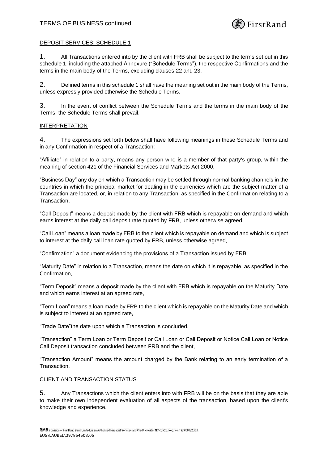

#### <span id="page-11-0"></span>DEPOSIT SERVICES: SCHEDULE 1

1. All Transactions entered into by the client with FRB shall be subject to the terms set out in this [schedule 1,](#page-11-0) including the attached Annexure ("Schedule Terms"), the respective Confirmations and the terms in the main body of the Terms, excluding clauses [22](#page-14-0) and [23.](#page-4-0)

2. Defined terms in thi[s schedule 1](#page-11-0) shall have the meaning set out in the main body of the Terms, unless expressly provided otherwise the Schedule Terms.

3. In the event of conflict between the Schedule Terms and the terms in the main body of the Terms, the Schedule Terms shall prevail.

#### INTERPRETATION

4. The expressions set forth below shall have following meanings in these Schedule Terms and in any Confirmation in respect of a Transaction:

"Affiliate" in relation to a party, means any person who is a member of that party's group, within the meaning of section 421 of the Financial Services and Markets Act 2000,

"Business Day" any day on which a Transaction may be settled through normal banking channels in the countries in which the principal market for dealing in the currencies which are the subject matter of a Transaction are located, or, in relation to any Transaction, as specified in the Confirmation relating to a Transaction,

"Call Deposit" means a deposit made by the client with FRB which is repayable on demand and which earns interest at the daily call deposit rate quoted by FRB, unless otherwise agreed,

"Call Loan" means a loan made by FRB to the client which is repayable on demand and which is subject to interest at the daily call loan rate quoted by FRB, unless otherwise agreed,

"Confirmation" a document evidencing the provisions of a Transaction issued by FRB,

"Maturity Date" in relation to a Transaction, means the date on which it is repayable, as specified in the Confirmation,

"Term Deposit" means a deposit made by the client with FRB which is repayable on the Maturity Date and which earns interest at an agreed rate,

"Term Loan" means a loan made by FRB to the client which is repayable on the Maturity Date and which is subject to interest at an agreed rate,

"Trade Date"the date upon which a Transaction is concluded,

"Transaction" a Term Loan or Term Deposit or Call Loan or Call Deposit or Notice Call Loan or Notice Call Deposit transaction concluded between FRB and the client,

"Transaction Amount" means the amount charged by the Bank relating to an early termination of a Transaction.

#### CLIENT AND TRANSACTION STATUS

5. Any Transactions which the client enters into with FRB will be on the basis that they are able to make their own independent evaluation of all aspects of the transaction, based upon the client's knowledge and experience.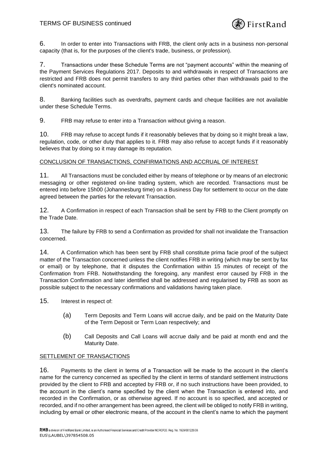

6. In order to enter into Transactions with FRB, the client only acts in a business non-personal capacity (that is, for the purposes of the client's trade, business, or profession).

7. Transactions under these Schedule Terms are not "payment accounts" within the meaning of the Payment Services Regulations 2017. Deposits to and withdrawals in respect of Transactions are restricted and FRB does not permit transfers to any third parties other than withdrawals paid to the client's nominated account.

8. Banking facilities such as overdrafts, payment cards and cheque facilities are not available under these Schedule Terms.

9. FRB may refuse to enter into a Transaction without giving a reason.

10. FRB may refuse to accept funds if it reasonably believes that by doing so it might break a law, regulation, code, or other duty that applies to it. FRB may also refuse to accept funds if it reasonably believes that by doing so it may damage its reputation.

# CONCLUSION OF TRANSACTIONS, CONFIRMATIONS AND ACCRUAL OF INTEREST

11. All Transactions must be concluded either by means of telephone or by means of an electronic messaging or other registered on-line trading system, which are recorded. Transactions must be entered into before 15h00 (Johannesburg time) on a Business Day for settlement to occur on the date agreed between the parties for the relevant Transaction.

12. A Confirmation in respect of each Transaction shall be sent by FRB to the Client promptly on the Trade Date.

13. The failure by FRB to send a Confirmation as provided for shall not invalidate the Transaction concerned.

14. A Confirmation which has been sent by FRB shall constitute prima facie proof of the subject matter of the Transaction concerned unless the client notifies FRB in writing (which may be sent by fax or email) or by telephone, that it disputes the Confirmation within 15 minutes of receipt of the Confirmation from FRB. Notwithstanding the foregoing, any manifest error caused by FRB in the Transaction Confirmation and later identified shall be addressed and regularised by FRB as soon as possible subject to the necessary confirmations and validations having taken place.

15. Interest in respect of:

- (a) Term Deposits and Term Loans will accrue daily, and be paid on the Maturity Date of the Term Deposit or Term Loan respectively; and
- (b) Call Deposits and Call Loans will accrue daily and be paid at month end and the Maturity Date.

# **SETTLEMENT OF TRANSACTIONS**

16. Payments to the client in terms of a Transaction will be made to the account in the client's name for the currency concerned as specified by the client in terms of standard settlement instructions provided by the client to FRB and accepted by FRB or, if no such instructions have been provided, to the account in the client's name specified by the client when the Transaction is entered into, and recorded in the Confirmation, or as otherwise agreed. If no account is so specified, and accepted or recorded, and if no other arrangement has been agreed, the client will be obliged to notify FRB in writing, including by email or other electronic means, of the account in the client's name to which the payment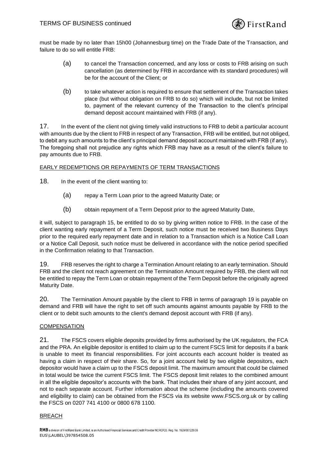

must be made by no later than 15h00 (Johannesburg time) on the Trade Date of the Transaction, and failure to do so will entitle FRB:

- (a) to cancel the Transaction concerned, and any loss or costs to FRB arising on such cancellation (as determined by FRB in accordance with its standard procedures) will be for the account of the Client; or
- (b) to take whatever action is required to ensure that settlement of the Transaction takes place (but without obligation on FRB to do so) which will include, but not be limited to, payment of the relevant currency of the Transaction to the client's principal demand deposit account maintained with FRB (if any).

17. In the event of the client not giving timely valid instructions to FRB to debit a particular account with amounts due by the client to FRB in respect of any Transaction, FRB will be entitled, but not obliged, to debit any such amounts to the client's principal demand deposit account maintained with FRB (if any). The foregoing shall not prejudice any rights which FRB may have as a result of the client's failure to pay amounts due to FRB.

# EARLY REDEMPTIONS OR REPAYMENTS OF TERM TRANSACTIONS

- 18. In the event of the client wanting to:
	- (a) repay a Term Loan prior to the agreed Maturity Date; or
	- (b) obtain repayment of a Term Deposit prior to the agreed Maturity Date,

it will, subject to paragraph 15, be entitled to do so by giving written notice to FRB. In the case of the client wanting early repayment of a Term Deposit, such notice must be received two Business Days prior to the required early repayment date and in relation to a Transaction which is a Notice Call Loan or a Notice Call Deposit, such notice must be delivered in accordance with the notice period specified in the Confirmation relating to that Transaction.

19. FRB reserves the right to charge a Termination Amount relating to an early termination. Should FRB and the client not reach agreement on the Termination Amount required by FRB, the client will not be entitled to repay the Term Loan or obtain repayment of the Term Deposit before the originally agreed Maturity Date.

20. The Termination Amount payable by the client to FRB in terms of paragraph 19 is payable on demand and FRB will have the right to set off such amounts against amounts payable by FRB to the client or to debit such amounts to the client's demand deposit account with FRB (if any).

# COMPENSATION

21. The FSCS covers eligible deposits provided by firms authorised by the UK regulators, the FCA and the PRA. An eligible depositor is entitled to claim up to the current FSCS limit for deposits if a bank is unable to meet its financial responsibilities. For joint accounts each account holder is treated as having a claim in respect of their share. So, for a joint account held by two eligible depositors, each depositor would have a claim up to the FSCS deposit limit. The maximum amount that could be claimed in total would be twice the current FSCS limit. The FSCS deposit limit relates to the combined amount in all the eligible depositor's accounts with the bank. That includes their share of any joint account, and not to each separate account. Further information about the scheme (including the amounts covered and eligibility to claim) can be obtained from the FSCS via its website www.FSCS.org.uk or by calling the FSCS on 0207 741 4100 or 0800 678 1100.

# BREACH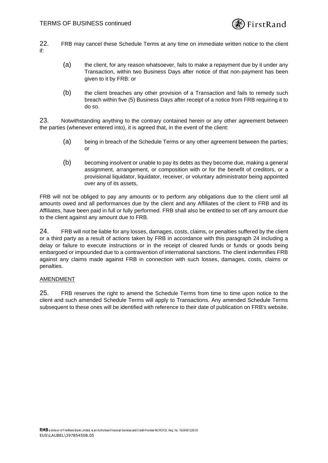

- <span id="page-14-0"></span>22. FRB may cancel these Schedule Terms at any time on immediate written notice to the client if:
	- (a) the client, for any reason whatsoever, fails to make a repayment due by it under any Transaction, within two Business Days after notice of that non-payment has been given to it by FRB: or
	- (b) the client breaches any other provision of a Transaction and fails to remedy such breach within five (5) Business Days after receipt of a notice from FRB requiring it to do so.

23. Notwithstanding anything to the contrary contained herein or any other agreement between the parties (whenever entered into), it is agreed that, in the event of the client:

- (a) being in breach of the Schedule Terms or any other agreement between the parties; or
- (b) becoming insolvent or unable to pay its debts as they become due, making a general assignment, arrangement, or composition with or for the benefit of creditors, or a provisional liquidator, liquidator, receiver, or voluntary administrator being appointed over any of its assets,

FRB will not be obliged to pay any amounts or to perform any obligations due to the client until all amounts owed and all performances due by the client and any Affiliates of the client to FRB and its Affiliates, have been paid in full or fully performed. FRB shall also be entitled to set off any amount due to the client against any amount due to FRB.

24. FRB will not be liable for any losses, damages, costs, claims, or penalties suffered by the client or a third party as a result of actions taken by FRB in accordance with this paragraph 24 including a delay or failure to execute instructions or in the receipt of cleared funds or funds or goods being embargoed or impounded due to a contravention of international sanctions. The client indemnifies FRB against any claims made against FRB in connection with such losses, damages, costs, claims or penalties.

# AMENDMENT

25. FRB reserves the right to amend the Schedule Terms from time to time upon notice to the client and such amended Schedule Terms will apply to Transactions. Any amended Schedule Terms subsequent to these ones will be identified with reference to their date of publication on FRB's website.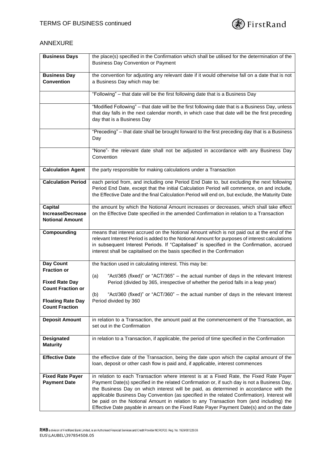

# ANNEXURE

| <b>Business Days</b>                                          | the place(s) specified in the Confirmation which shall be utilised for the determination of the                                                                                                                                                                                                                                                                                                                                                                                                                                                                         |
|---------------------------------------------------------------|-------------------------------------------------------------------------------------------------------------------------------------------------------------------------------------------------------------------------------------------------------------------------------------------------------------------------------------------------------------------------------------------------------------------------------------------------------------------------------------------------------------------------------------------------------------------------|
|                                                               | <b>Business Day Convention or Payment</b>                                                                                                                                                                                                                                                                                                                                                                                                                                                                                                                               |
| <b>Business Day</b>                                           | the convention for adjusting any relevant date if it would otherwise fall on a date that is not                                                                                                                                                                                                                                                                                                                                                                                                                                                                         |
| <b>Convention</b>                                             | a Business Day which may be:                                                                                                                                                                                                                                                                                                                                                                                                                                                                                                                                            |
|                                                               | "Following" - that date will be the first following date that is a Business Day                                                                                                                                                                                                                                                                                                                                                                                                                                                                                         |
|                                                               | "Modified Following" - that date will be the first following date that is a Business Day, unless                                                                                                                                                                                                                                                                                                                                                                                                                                                                        |
|                                                               | that day falls in the next calendar month, in which case that date will be the first preceding<br>day that is a Business Day                                                                                                                                                                                                                                                                                                                                                                                                                                            |
|                                                               | "Preceding" – that date shall be brought forward to the first preceding day that is a Business<br>Day                                                                                                                                                                                                                                                                                                                                                                                                                                                                   |
|                                                               | "None"- the relevant date shall not be adjusted in accordance with any Business Day<br>Convention                                                                                                                                                                                                                                                                                                                                                                                                                                                                       |
| <b>Calculation Agent</b>                                      | the party responsible for making calculations under a Transaction                                                                                                                                                                                                                                                                                                                                                                                                                                                                                                       |
| <b>Calculation Period</b>                                     | each period from, and including one Period End Date to, but excluding the next following<br>Period End Date, except that the initial Calculation Period will commence, on and include,<br>the Effective Date and the final Calculation Period will end on, but exclude, the Maturity Date                                                                                                                                                                                                                                                                               |
| Capital<br><b>Increase/Decrease</b><br><b>Notional Amount</b> | the amount by which the Notional Amount increases or decreases, which shall take effect<br>on the Effective Date specified in the amended Confirmation in relation to a Transaction                                                                                                                                                                                                                                                                                                                                                                                     |
| Compounding                                                   | means that interest accrued on the Notional Amount which is not paid out at the end of the<br>relevant Interest Period is added to the Notional Amount for purposes of interest calculations<br>in subsequent Interest Periods. If "Capitalised" is specified in the Confirmation, accrued<br>interest shall be capitalised on the basis specified in the Confirmation                                                                                                                                                                                                  |
| Day Count                                                     | the fraction used in calculating interest. This may be:                                                                                                                                                                                                                                                                                                                                                                                                                                                                                                                 |
| <b>Fraction or</b>                                            | "Act/365 (fixed)" or "ACT/365" - the actual number of days in the relevant Interest<br>(a)                                                                                                                                                                                                                                                                                                                                                                                                                                                                              |
| <b>Fixed Rate Day</b><br><b>Count Fraction or</b>             | Period (divided by 365, irrespective of whether the period falls in a leap year)                                                                                                                                                                                                                                                                                                                                                                                                                                                                                        |
|                                                               | "Act/360 (fixed)" or "ACT/360" - the actual number of days in the relevant Interest<br>(b)                                                                                                                                                                                                                                                                                                                                                                                                                                                                              |
| <b>Floating Rate Day</b><br><b>Count Fraction</b>             | Period divided by 360                                                                                                                                                                                                                                                                                                                                                                                                                                                                                                                                                   |
| <b>Deposit Amount</b>                                         | in relation to a Transaction, the amount paid at the commencement of the Transaction, as<br>set out in the Confirmation                                                                                                                                                                                                                                                                                                                                                                                                                                                 |
| <b>Designated</b><br><b>Maturity</b>                          | in relation to a Transaction, if applicable, the period of time specified in the Confirmation                                                                                                                                                                                                                                                                                                                                                                                                                                                                           |
| <b>Effective Date</b>                                         | the effective date of the Transaction, being the date upon which the capital amount of the<br>loan, deposit or other cash flow is paid and, if applicable, interest commences                                                                                                                                                                                                                                                                                                                                                                                           |
| <b>Fixed Rate Payer</b><br><b>Payment Date</b>                | in relation to each Transaction where interest is at a Fixed Rate, the Fixed Rate Payer<br>Payment Date(s) specified in the related Confirmation or, if such day is not a Business Day,<br>the Business Day on which interest will be paid, as determined in accordance with the<br>applicable Business Day Convention (as specified in the related Confirmation). Interest will<br>be paid on the Notional Amount in relation to any Transaction from (and including) the<br>Effective Date payable in arrears on the Fixed Rate Payer Payment Date(s) and on the date |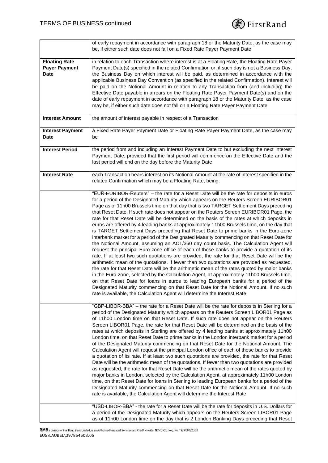

|                                                             | of early repayment in accordance with paragraph 18 or the Maturity Date, as the case may<br>be, if either such date does not fall on a Fixed Rate Payer Payment Date                                                                                                                                                                                                                                                                                                                                                                                                                                                                                                                                                                                                                                                                                                                                                                                                                                                                                                                                                                                                                                                                                                                                                                                                                                                                                                                                                                                                                                    |
|-------------------------------------------------------------|---------------------------------------------------------------------------------------------------------------------------------------------------------------------------------------------------------------------------------------------------------------------------------------------------------------------------------------------------------------------------------------------------------------------------------------------------------------------------------------------------------------------------------------------------------------------------------------------------------------------------------------------------------------------------------------------------------------------------------------------------------------------------------------------------------------------------------------------------------------------------------------------------------------------------------------------------------------------------------------------------------------------------------------------------------------------------------------------------------------------------------------------------------------------------------------------------------------------------------------------------------------------------------------------------------------------------------------------------------------------------------------------------------------------------------------------------------------------------------------------------------------------------------------------------------------------------------------------------------|
| <b>Floating Rate</b><br><b>Payer Payment</b><br><b>Date</b> | in relation to each Transaction where interest is at a Floating Rate, the Floating Rate Payer<br>Payment Date(s) specified in the related Confirmation or, if such day is not a Business Day,<br>the Business Day on which interest will be paid, as determined in accordance with the<br>applicable Business Day Convention (as specified in the related Confirmation). Interest will<br>be paid on the Notional Amount in relation to any Transaction from (and including) the<br>Effective Date payable in arrears on the Floating Rate Payer Payment Date(s) and on the<br>date of early repayment in accordance with paragraph 18 or the Maturity Date, as the case<br>may be, if either such date does not fall on a Floating Rate Payer Payment Date                                                                                                                                                                                                                                                                                                                                                                                                                                                                                                                                                                                                                                                                                                                                                                                                                                             |
| <b>Interest Amount</b>                                      | the amount of interest payable in respect of a Transaction                                                                                                                                                                                                                                                                                                                                                                                                                                                                                                                                                                                                                                                                                                                                                                                                                                                                                                                                                                                                                                                                                                                                                                                                                                                                                                                                                                                                                                                                                                                                              |
| <b>Interest Payment</b><br><b>Date</b>                      | a Fixed Rate Payer Payment Date or Floating Rate Payer Payment Date, as the case may<br>be                                                                                                                                                                                                                                                                                                                                                                                                                                                                                                                                                                                                                                                                                                                                                                                                                                                                                                                                                                                                                                                                                                                                                                                                                                                                                                                                                                                                                                                                                                              |
| <b>Interest Period</b>                                      | the period from and including an Interest Payment Date to but excluding the next Interest<br>Payment Date; provided that the first period will commence on the Effective Date and the<br>last period will end on the day before the Maturity Date                                                                                                                                                                                                                                                                                                                                                                                                                                                                                                                                                                                                                                                                                                                                                                                                                                                                                                                                                                                                                                                                                                                                                                                                                                                                                                                                                       |
| <b>Interest Rate</b>                                        | each Transaction bears interest on its Notional Amount at the rate of interest specified in the<br>related Confirmation which may be a Floating Rate, being:                                                                                                                                                                                                                                                                                                                                                                                                                                                                                                                                                                                                                                                                                                                                                                                                                                                                                                                                                                                                                                                                                                                                                                                                                                                                                                                                                                                                                                            |
|                                                             | "EUR-EURIBOR-Reuters" - the rate for a Reset Date will be the rate for deposits in euros<br>for a period of the Designated Maturity which appears on the Reuters Screen EURIBOR01<br>Page as of 11h00 Brussels time on that day that is two TARGET Settlement Days preceding<br>that Reset Date. If such rate does not appear on the Reuters Screen EURIBOR01 Page, the<br>rate for that Reset Date will be determined on the basis of the rates at which deposits in<br>euros are offered by 4 leading banks at approximately 11h00 Brussels time, on the day that<br>is TARGET Settlement Days preceding that Reset Date to prime banks in the Euro-zone<br>interbank market for a period of the Designated Maturity commencing on that Reset Date for<br>the Notional Amount, assuming an ACT/360 day count basis. The Calculation Agent will<br>request the principal Euro-zone office of each of those banks to provide a quotation of its<br>rate. If at least two such quotations are provided, the rate for that Reset Date will be the<br>arithmetic mean of the quotations. If fewer than two quotations are provided as requested,<br>the rate for that Reset Date will be the arithmetic mean of the rates quoted by major banks<br>in the Euro-zone, selected by the Calculation Agent, at approximately 11h00 Brussels time,<br>on that Reset Date for loans in euros to leading European banks for a period of the<br>Designated Maturity commencing on that Reset Date for the Notional Amount. If no such<br>rate is available, the Calculation Agent will determine the Interest Rate |
|                                                             | "GBP-LIBOR-BBA" - the rate for a Reset Date will be the rate for deposits in Sterling for a<br>period of the Designated Maturity which appears on the Reuters Screen LIBOR01 Page as<br>of 11h00 London time on that Reset Date. If such rate does not appear on the Reuters<br>Screen LIBOR01 Page, the rate for that Reset Date will be determined on the basis of the<br>rates at which deposits in Sterling are offered by 4 leading banks at approximately 11h00<br>London time, on that Reset Date to prime banks in the London interbank market for a period<br>of the Designated Maturity commencing on that Reset Date for the Notional Amount. The<br>Calculation Agent will request the principal London office of each of those banks to provide<br>a quotation of its rate. If at least two such quotations are provided, the rate for that Reset<br>Date will be the arithmetic mean of the quotations. If fewer than two quotations are provided<br>as requested, the rate for that Reset Date will be the arithmetic mean of the rates quoted by<br>major banks in London, selected by the Calculation Agent, at approximately 11h00 London<br>time, on that Reset Date for loans in Sterling to leading European banks for a period of the<br>Designated Maturity commencing on that Reset Date for the Notional Amount. If no such<br>rate is available, the Calculation Agent will determine the Interest Rate                                                                                                                                                                       |
|                                                             | "USD-LIBOR-BBA" - the rate for a Reset Date will be the rate for deposits in U.S. Dollars for<br>a period of the Designated Maturity which appears on the Reuters Screen LIBOR01 Page<br>as of 11h00 London time on the day that is 2 London Banking Days preceding that Reset                                                                                                                                                                                                                                                                                                                                                                                                                                                                                                                                                                                                                                                                                                                                                                                                                                                                                                                                                                                                                                                                                                                                                                                                                                                                                                                          |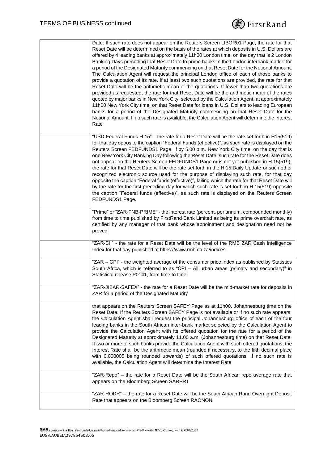

| Date. If such rate does not appear on the Reuters Screen LIBOR01 Page, the rate for that<br>Reset Date will be determined on the basis of the rates at which deposits in U.S. Dollars are<br>offered by 4 leading banks at approximately 11h00 London time, on the day that is 2 London<br>Banking Days preceding that Reset Date to prime banks in the London interbank market for<br>a period of the Designated Maturity commencing on that Reset Date for the Notional Amount.<br>The Calculation Agent will request the principal London office of each of those banks to<br>provide a quotation of its rate. If at least two such quotations are provided, the rate for that<br>Reset Date will be the arithmetic mean of the quotations. If fewer than two quotations are<br>provided as requested, the rate for that Reset Date will be the arithmetic mean of the rates<br>quoted by major banks in New York City, selected by the Calculation Agent, at approximately<br>11h00 New York City time, on that Reset Date for loans in U.S. Dollars to leading European<br>banks for a period of the Designated Maturity commencing on that Reset Date for the<br>Notional Amount. If no such rate is available, the Calculation Agent will determine the Interest<br>Rate |
|---------------------------------------------------------------------------------------------------------------------------------------------------------------------------------------------------------------------------------------------------------------------------------------------------------------------------------------------------------------------------------------------------------------------------------------------------------------------------------------------------------------------------------------------------------------------------------------------------------------------------------------------------------------------------------------------------------------------------------------------------------------------------------------------------------------------------------------------------------------------------------------------------------------------------------------------------------------------------------------------------------------------------------------------------------------------------------------------------------------------------------------------------------------------------------------------------------------------------------------------------------------------------------|
| "USD-Federal Funds H.15" - the rate for a Reset Date will be the rate set forth in H15(519)<br>for that day opposite the caption "Federal Funds (effective)", as such rate is displayed on the<br>Reuters Screen FEDFUNDS1 Page. If by 5.00 p.m. New York City time, on the day that is<br>one New York City Banking Day following the Reset Date, such rate for the Reset Date does<br>not appear on the Reuters Screen FEDFUNDS1 Page or is not yet published in H.15(519),<br>the rate for that Reset Date will be the rate set forth in the H.15 Daily Update or such other<br>recognized electronic source used for the purpose of displaying such rate, for that day<br>opposite the caption "Federal funds (effective)", failing which the rate for that Reset Date will<br>by the rate for the first preceding day for which such rate is set forth in H.15(519) opposite<br>the caption "Federal funds (effective)", as such rate is displayed on the Reuters Screen<br>FEDFUNDS1 Page.                                                                                                                                                                                                                                                                                |
| "Prime" or "ZAR-FNB-PRIME" - the interest rate (percent, per annum, compounded monthly)<br>from time to time published by FirstRand Bank Limited as being its prime overdraft rate, as<br>certified by any manager of that bank whose appointment and designation need not be<br>proved                                                                                                                                                                                                                                                                                                                                                                                                                                                                                                                                                                                                                                                                                                                                                                                                                                                                                                                                                                                         |
| "ZAR-CII" - the rate for a Reset Date will be the level of the RMB ZAR Cash Intelligence<br>Index for that day published at https://www.rmb.co.za/indices                                                                                                                                                                                                                                                                                                                                                                                                                                                                                                                                                                                                                                                                                                                                                                                                                                                                                                                                                                                                                                                                                                                       |
| "ZAR - CPI" - the weighted average of the consumer price index as published by Statistics<br>South Africa, which is referred to as "CPI - All urban areas (primary and secondary)" in<br>Statistical release P0141, from time to time                                                                                                                                                                                                                                                                                                                                                                                                                                                                                                                                                                                                                                                                                                                                                                                                                                                                                                                                                                                                                                           |
| "ZAR-JIBAR-SAFEX" - the rate for a Reset Date will be the mid-market rate for deposits in<br>ZAR for a period of the Designated Maturity                                                                                                                                                                                                                                                                                                                                                                                                                                                                                                                                                                                                                                                                                                                                                                                                                                                                                                                                                                                                                                                                                                                                        |
| that appears on the Reuters Screen SAFEY Page as at 11h00, Johannesburg time on the<br>Reset Date. If the Reuters Screen SAFEY Page is not available or if no such rate appears,<br>the Calculation Agent shall request the principal Johannesburg office of each of the four<br>leading banks in the South African inter-bank market selected by the Calculation Agent to<br>provide the Calculation Agent with its offered quotation for the rate for a period of the<br>Designated Maturity at approximately 11.00 a.m. (Johannesburg time) on that Reset Date.<br>If two or more of such banks provide the Calculation Agent with such offered quotations, the<br>Interest Rate shall be the arithmetic mean (rounded if necessary, to the fifth decimal place<br>with 0.000005 being rounded upwards) of such offered quotations. If no such rate is<br>available, the Calculation Agent will determine the Interest Rate                                                                                                                                                                                                                                                                                                                                                  |
| "ZAR-Repo" - the rate for a Reset Date will be the South African repo average rate that<br>appears on the Bloomberg Screen SARPRT                                                                                                                                                                                                                                                                                                                                                                                                                                                                                                                                                                                                                                                                                                                                                                                                                                                                                                                                                                                                                                                                                                                                               |
| "ZAR-RODR" - the rate for a Reset Date will be the South African Rand Overnight Deposit<br>Rate that appears on the Bloomberg Screen RAONON                                                                                                                                                                                                                                                                                                                                                                                                                                                                                                                                                                                                                                                                                                                                                                                                                                                                                                                                                                                                                                                                                                                                     |